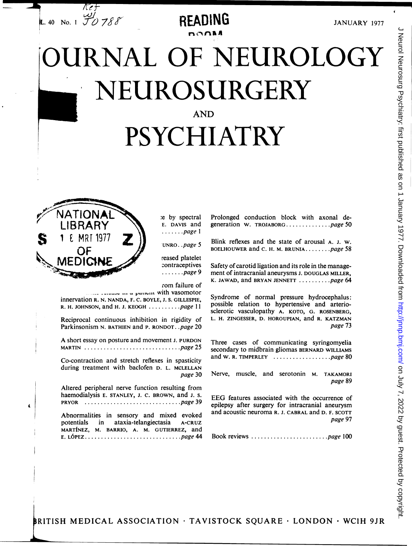

 $\sim$ na A

JANUARY <sup>1977</sup>

# JRNAL OF NEUROLOGY NEUROSURGERY AND PSYCHIATRY



J Neurol Neurosurg Psychiatry: first published as on 1 January 1977. Downloaded from http://jnnp.bmj.com/ on July 7, 2022 by guest. Protected by copyright J Neurol Neurosurg Psychiatry: first published as on 1 January 1977. Downloaded from <http://jnnp.bmj.com/> on July 7, 2022 by guest. Protected by copyright.

RITISH MEDICAL ASSOCIATION \* TAVISTOCK SQUARE \* LONDON \* WCIH 9JR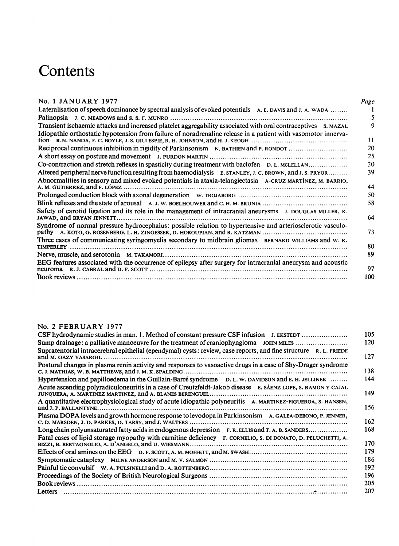# No. 1 JANUARY 1977 *Page*

| Contents                                                                                                                                                                                                                       |
|--------------------------------------------------------------------------------------------------------------------------------------------------------------------------------------------------------------------------------|
|                                                                                                                                                                                                                                |
| No. 1 JANUARY 1977                                                                                                                                                                                                             |
| Lateralisation of speech dominance by spectral analysis of evoked potentials A.E. DAVIS and J. A. WADA                                                                                                                         |
| Transient ischaemic attacks and increased platelet aggregability associated with oral contraceptives s. MAZAL<br>Idiopathic orthostatic hypotension from failure of noradrenaline release in a patient with vasomotor innerva- |
|                                                                                                                                                                                                                                |
| Reciprocal continuous inhibition in rigidity of Parkinsonism N. BATHIEN and P. RONDOT                                                                                                                                          |
|                                                                                                                                                                                                                                |
| Co-contraction and stretch reflexes in spasticity during treatment with baclofen D. L. MCLELLAN                                                                                                                                |
| Altered peripheral nerve function resulting from haemodialysis E. STANLEY, J. C. BROWN, and J. S. PRYOR<br>Abnormalities in sensory and mixed evoked potentials in ataxia-telangiectasia A-CRUZ MARTÍNEZ, M. BARRIO,           |
|                                                                                                                                                                                                                                |
| Blink reflexes and the state of arousal A.J.W. BOELHOUWER and C.H.M. BRUNIA                                                                                                                                                    |
| Safety of carotid ligation and its role in the management of intracranial aneurysms J. DOUGLAS MILLER, K.                                                                                                                      |
| Syndrome of normal pressure hydrocephalus: possible relation to hypertensive and arteriosclerotic vasculo-<br>pathy A. KOTO, G. ROSENBERG, L. H. ZINGESSER, D. HOROUPIAN, and R. KATZMAN                                       |
| Three cases of communicating syringomyelia secondary to midbrain gliomas BERNARD WILLIAMS and W. R.                                                                                                                            |
|                                                                                                                                                                                                                                |
| EEG features associated with the occurrence of epilepsy after surgery for intracranial aneurysm and acoustic                                                                                                                   |
|                                                                                                                                                                                                                                |

#### No. <sup>2</sup> FEBRUARY <sup>1977</sup>

| CSF hydrodynamic studies in man. 1. Method of constant pressure CSF infusion J. EKSTEDT                          | 105 |
|------------------------------------------------------------------------------------------------------------------|-----|
| Sump drainage: a palliative manoeuvre for the treatment of craniophyngioma JOHN MILES                            | 120 |
| Supratentorial intracerebral epithelial (ependymal) cysts: review, case reports, and fine structure R. L. FRIEDE | 127 |
| Postural changes in plasma renin activity and responses to vasoactive drugs in a case of Shy-Drager syndrome     | 138 |
| Hypertension and papilloedema in the Guillain-Barré syndrome D. L. W. DAVIDSON and E. H. JELLINEK                | 144 |
| Acute ascending polyradiculoneuritis in a case of Creutzfeldt-Jakob disease E. SAENZ LOPE, S. RAMON Y CAJAL      | 149 |
| A quantitative electrophysiological study of acute idiopathic polyneuritis A. MARTINEZ-FIGUEROA, S. HANSEN,      | 156 |
| Plasma DOPA levels and growth hormone response to levodopa in Parkinsonism A. GALEA-DEBONO, P. JENNER,           | 162 |
|                                                                                                                  | 168 |
| Fatal cases of lipid storage myopathy with carnitine deficiency F. CORNELIO, S. DI DONATO, D. PELUCHETTI, A.     | 170 |
|                                                                                                                  | 179 |
|                                                                                                                  | 186 |
|                                                                                                                  | 192 |
|                                                                                                                  | 196 |
|                                                                                                                  | 205 |
|                                                                                                                  | 207 |

l,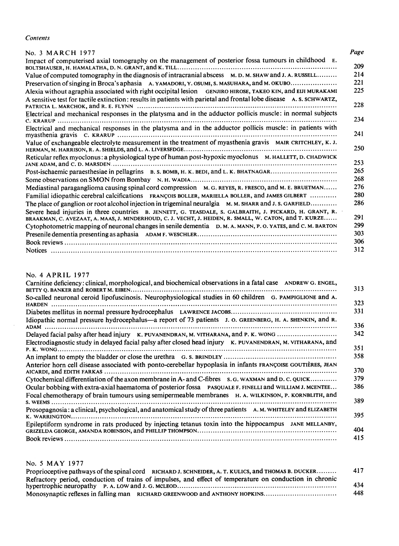| Contents                                                                                                                                                                                                          |  |
|-------------------------------------------------------------------------------------------------------------------------------------------------------------------------------------------------------------------|--|
| No. 3 MARCH 1977                                                                                                                                                                                                  |  |
| Impact of computerised axial tomography on the management of posterior fossa tumours in childhood E.                                                                                                              |  |
| Value of computed tomography in the diagnosis of intracranial abscess M. D. M. SHAW and J. A. RUSSELL                                                                                                             |  |
| Preservation of singing in Broca's aphasia A. YAMADORI, Y. OSUMI, S. MASUHARA, and M. OKUBO                                                                                                                       |  |
| Alexia without agraphia associated with right occipital lesion GENJIRO HIROSE, TAKEO KIN, and EIJI MURAKAMI                                                                                                       |  |
| A sensitive test for tactile extinction: results in patients with parietal and frontal lobe disease A. S. SCHWARTZ,                                                                                               |  |
| Electrical and mechanical responses in the platysma and in the adductor pollicis muscle: in normal subjects                                                                                                       |  |
|                                                                                                                                                                                                                   |  |
| Electrical and mechanical responses in the platysma and in the adductor pollicis muscle: in patients with                                                                                                         |  |
| Value of exchangeable electrolyte measurement in the treatment of myasthenia gravis MAIR CRITCHLEY, K. J.                                                                                                         |  |
| Reticular reflex myoclonus: a physiological type of human post-hypoxic myoclonus M. HALLETT, D. CHADWICK                                                                                                          |  |
|                                                                                                                                                                                                                   |  |
| Post-ischaemic paraesthesiae in pellagrins B. S. BOMB, H. K. BEDI, and L. K. BHATNAGAR                                                                                                                            |  |
|                                                                                                                                                                                                                   |  |
| Mediastinal paraganglioma causing spinal cord compression M. G. REYES, R. FRESCO, and M. E. BRUETMAN                                                                                                              |  |
| Familial idiopathic cerebral calcifications FRANÇOIS BOLLER, MARIELLA BOLLER, and JAMES GILBERT<br>The place of ganglion or root alcohol injection in trigeminal neuralgia M. M. SHARR and J. S. GARFIELD         |  |
| Severe head injuries in three countries B. JENNETT, G. TEASDALE, S. GALBRAITH, J. PICKARD, H. GRANT, R.<br>BRAAKMAN, C. AVEZAAT, A. MAAS, J. MINDERHOUD, C. J. VECHT, J. HEIDEN, R. SMALL, W. CATON, and T. KURZE |  |
| Cytophotometric mapping of neuronal changes in senile dementia D. M. A. MANN, P. O. YATES, and C. M. BARTON                                                                                                       |  |
|                                                                                                                                                                                                                   |  |
|                                                                                                                                                                                                                   |  |
|                                                                                                                                                                                                                   |  |
| No. 4 APRIL 1977                                                                                                                                                                                                  |  |
| Carnitine deficiency: clinical, morphological, and biochemical observations in a fatal case ANDREW G. ENGEL,                                                                                                      |  |
| So-called neuronal ceroid lipofuscinosis. Neurophysiological studies in 60 children G. PAMPIGLIONE and A.                                                                                                         |  |
|                                                                                                                                                                                                                   |  |
| Idiopathic normal pressure hydrocephalus—a report of 73 patients J. o. GREENBERG, H. A. SHENKIN, and R.                                                                                                           |  |
| Delayed facial palsy after head injury K. PUVANENDRAN, M. VITHARANA, and P. K. WONG<br>Electrodiagnostic study in delayed facial palsy after closed head injury K. PUVANENDRAN, M. VITHARANA, and                 |  |
|                                                                                                                                                                                                                   |  |
| Anterior horn cell disease associated with ponto-cerebellar hypoplasia in infants FRANÇOISE GOUTIÈRES, JEAN                                                                                                       |  |
| Cytochemical differentiation of the axon membrane in A- and C-fibres s. G. WAXMAN and D. C. QUICK                                                                                                                 |  |
| Ocular bobbing with extra-axial haematoma of posterior fossa PASQUALE F. FINELLI and WILLIAM J. MCENTEE                                                                                                           |  |

# No. <sup>4</sup> APRIL 1977

| OUVELE HEAU HIJULIES III UNEC COUNTIES D. JENNETT, O. TEASDALE, S. OALDKAITH, J. TICKAKD, II. OKANT, K.<br>BRAAKMAN, C. AVEZAAT, A. MAAS, J. MINDERHOUD, C. J. VECHT, J. HEIDEN, R. SMALL, W. CATON, and T. KURZE | 291 |
|-------------------------------------------------------------------------------------------------------------------------------------------------------------------------------------------------------------------|-----|
| Cytophotometric mapping of neuronal changes in senile dementia D. M. A. MANN, P. O. YATES, and C. M. BARTON                                                                                                       | 299 |
|                                                                                                                                                                                                                   | 303 |
|                                                                                                                                                                                                                   | 306 |
|                                                                                                                                                                                                                   | 312 |
| No. 4 APRIL 1977                                                                                                                                                                                                  |     |
| Carnitine deficiency: clinical, morphological, and biochemical observations in a fatal case ANDREW G. ENGEL,                                                                                                      | 313 |
| So-called neuronal ceroid lipofuscinosis. Neurophysiological studies in 60 children G. PAMPIGLIONE and A.                                                                                                         | 323 |
|                                                                                                                                                                                                                   | 331 |
| Idiopathic normal pressure hydrocephalus—a report of 73 patients J. O. GREENBERG, H. A. SHENKIN, and R.                                                                                                           | 336 |
| Delayed facial palsy after head injury K. PUVANENDRAN, M. VITHARANA, and P. K. WONG                                                                                                                               | 342 |
| Electrodiagnostic study in delayed facial palsy after closed head injury K. PUVANENDRAN, M. VITHARANA, and                                                                                                        | 351 |
|                                                                                                                                                                                                                   | 358 |
| Anterior horn cell disease associated with ponto-cerebellar hypoplasia in infants FRANCOISE GOUTIÈRES, JEAN                                                                                                       | 370 |
| Cytochemical differentiation of the axon membrane in A- and C-fibres s. G. WAXMAN and D. C. QUICK                                                                                                                 | 379 |
| Ocular bobbing with extra-axial haematoma of posterior fossa PASQUALE F. FINELLI and WILLIAM J. MCENTEE                                                                                                           | 386 |
| Focal chemotherapy of brain tumours using semipermeable membranes H. A. WILKINSON, P. KORNBLITH, and                                                                                                              | 389 |
| Prosopagnosia: a clinical, psychological, and anatomical study of three patients A. M. WHITELEY and ELIZABETH                                                                                                     | 395 |
| Epileptiform syndrome in rats produced by injecting tetanus toxin into the hippocampus JANE MELLANBY,                                                                                                             | 404 |
|                                                                                                                                                                                                                   | 415 |
|                                                                                                                                                                                                                   |     |

## No. <sup>5</sup> MAY <sup>1977</sup>

| Proprioceptive pathways of the spinal cord RICHARD J. SCHNEIDER, A. T. KULICS, and THOMAS B. DUCKER     | 417 |
|---------------------------------------------------------------------------------------------------------|-----|
| Refractory period, conduction of trains of impulses, and effect of temperature on conduction in chronic |     |
|                                                                                                         | 434 |
| Monosynaptic reflexes in falling man RICHARD GREENWOOD and ANTHONY HOPKINS                              | 448 |
|                                                                                                         |     |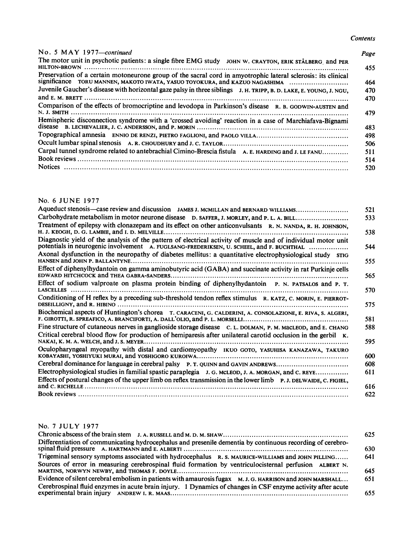# No. 5 MAY 1977—continued Page

| No. 5 MAY 1977-continued<br>The motor unit in psychotic patients: a single fibre EMG study JOHN W. CRAYTON, ERIK STÅLBERG and PER<br>$HILTON-BROWN$ |                                                                                        |
|-----------------------------------------------------------------------------------------------------------------------------------------------------|----------------------------------------------------------------------------------------|
| Preservation of a certain motoneurone group of the sacral cord in amyotrophic lateral sclerosis: its clinical                                       |                                                                                        |
| significance TORU MANNEN, MAKOTO IWATA, YASUO TOYOKURA, and KAZUO NAGASHIMA                                                                         |                                                                                        |
| Juvenile Gaucher's disease with horizontal gaze palsy in three siblings J. H. TRIPP, B. D. LAKE, E. YOUNG, J. NGU,                                  |                                                                                        |
| Comparison of the effects of bromocriptine and levodopa in Parkinson's disease R. B. GODWIN-AUSTEN and<br>N. J. SMITH                               |                                                                                        |
| Hemispheric disconnection syndrome with a 'crossed avoiding' reaction in a case of Marchiafava-Bignami                                              |                                                                                        |
|                                                                                                                                                     |                                                                                        |
|                                                                                                                                                     |                                                                                        |
| Carpal tunnel syndrome related to antebrachial Cimino-Brescia fistula A. E. HARDING and J. LE FANU                                                  | <b>Contents</b><br>Page<br>455<br>464<br>470<br>470<br>479<br>483<br>498<br>506<br>511 |
|                                                                                                                                                     | 514<br>520                                                                             |

#### No. <sup>6</sup> JUNE 1977

| Comparison of the effects of bromocriptine and levodopa in Parkinson's disease R. B. GODWIN-AUSTEN and                                                                                                    |
|-----------------------------------------------------------------------------------------------------------------------------------------------------------------------------------------------------------|
| Hemispheric disconnection syndrome with a 'crossed avoiding' reaction in a case of Marchiafava-Bignami                                                                                                    |
|                                                                                                                                                                                                           |
|                                                                                                                                                                                                           |
|                                                                                                                                                                                                           |
| Carpal tunnel syndrome related to antebrachial Cimino-Brescia fistula A. E. HARDING and J. LE FANU                                                                                                        |
|                                                                                                                                                                                                           |
|                                                                                                                                                                                                           |
|                                                                                                                                                                                                           |
|                                                                                                                                                                                                           |
| No. 6 JUNE 1977                                                                                                                                                                                           |
| Aqueduct stenosis—case review and discussion JAMES J. MCMILLAN and BERNARD WILLIAMS                                                                                                                       |
| Carbohydrate metabolism in motor neurone disease D. SAFFER, J. MORLEY, and P. L. A. BILL                                                                                                                  |
| Treatment of epilepsy with clonazepam and its effect on other anticonvulsants R. N. NANDA, R. H. JOHNSON,                                                                                                 |
|                                                                                                                                                                                                           |
| Diagnostic yield of the analysis of the pattern of electrical activity of muscle and of individual motor unit<br>potentials in neurogenic involvement A. FUGLSANG-FREDERIKSEN, U. SCHEEL, and F. BUCHTHAL |
| Axonal dysfunction in the neuropathy of diabetes mellitus: a quantitative electrophysiological study srig                                                                                                 |
|                                                                                                                                                                                                           |
| Effect of diphenylhydantoin on gamma aminobutyric acid (GABA) and succinate activity in rat Purkinje cells                                                                                                |
|                                                                                                                                                                                                           |
| Effect of sodium valproate on plasma protein binding of diphenylhydantoin P. N. PATSALOS and P. T.                                                                                                        |
|                                                                                                                                                                                                           |
| Conditioning of H reflex by a preceding sub-threshold tendon reflex stimulus R. KATZ, C. MORIN, E. PIERROT-                                                                                               |
| Biochemical aspects of Huntington's chorea T. CARACENI, G. CALDERINI, A. CONSOLAZIONE, E. RIVA, S. ALGERI,                                                                                                |
|                                                                                                                                                                                                           |
| Fine structure of cutaneous nerves in ganglioside storage disease C. L. DOLMAN, P. M. MacLEOD, and E. CHANG                                                                                               |
| Critical cerebral blood flow for production of hemiparesis after unilateral carotid occlusion in the gerbil K.                                                                                            |
|                                                                                                                                                                                                           |
| Oculopharyngeal myopathy with distal and cardiomyopathy IKUO GOTO, YASUHISA KANAZAWA, TAKURO                                                                                                              |
| Cerebral dominance for language in cerebral palsy P. T. QUINN and GAVIN ANDREWS                                                                                                                           |
| Electrophysiological studies in familial spastic paraplegia J. G. MCLEOD, J. A. MORGAN, and C. REYE                                                                                                       |
| Effects of postural changes of the upper limb on reflex transmission in the lower limb P.J. DELWAIDE, C. FIGIEL,                                                                                          |
|                                                                                                                                                                                                           |
|                                                                                                                                                                                                           |

#### No. <sup>7</sup> JULY 1977

|                                                                                                             | 625 |
|-------------------------------------------------------------------------------------------------------------|-----|
| Differentiation of communicating hydrocephalus and presenile dementia by continuous recording of cerebro-   | 630 |
| Trigeminal sensory symptoms associated with hydrocephalus R. S. MAURICE-WILLIAMS and JOHN PILLING           | 641 |
| Sources of error in measuring cerebrospinal fluid formation by ventriculocisternal perfusion ALBERT N.      | 645 |
| Evidence of silent cerebral embolism in patients with amaurosis fugax M. J. G. HARRISON and JOHN MARSHALL   | 651 |
| Cerebrospinal fluid enzymes in acute brain injury. 1 Dynamics of changes in CSF enzyme activity after acute | 655 |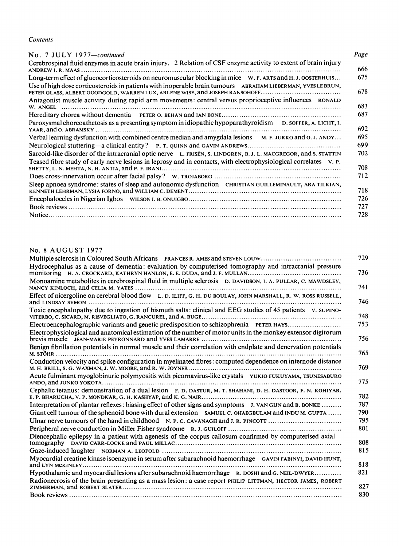| No. 7 JULY 1977-continued                                                                                        | Page |
|------------------------------------------------------------------------------------------------------------------|------|
| Cerebrospinal fluid enzymes in acute brain injury. 2 Relation of CSF enzyme activity to extent of brain injury   | 666  |
| Long-term effect of glucocorticosteroids on neuromuscular blocking in mice W. F. ARTS and H. J. OOSTERHUIS       | 675  |
| Use of high dose corticosteroids in patients with inoperable brain tumours ABRAHAM LIEBERMAN, YVES LEBRUN,       | 678  |
| Antagonist muscle activity during rapid arm movements: central versus proprioceptive influences RONALD           | 683  |
|                                                                                                                  | 687  |
| Paroxysmal choreoathetosis as a presenting symptom in idiopathic hypoparathyroidism $D$ . SOFFER, A. LICHT, I.   | 692  |
| Verbal learning dysfunction with combined centre median and amygdala lesions M. F. JURKO and O. J. ANDY          | 695  |
|                                                                                                                  | 699  |
| Sarcoid-like disorder of the intracranial optic nerve L. FRISÉN, S. LINDGREN, B. J. L. MACGREGOR, and S. STATTIN | 702  |
| Teased fibre study of early nerve lesions in leprosy and in contacts, with electrophysiological correlates v. P. | 708  |
|                                                                                                                  |      |
|                                                                                                                  | 712  |
| Sleep apnoea syndrome: states of sleep and autonomic dysfunction CHRISTIAN GUILLEMINAULT, ARA TILKIAN,           | 718  |
|                                                                                                                  | 726  |
|                                                                                                                  | 727  |
|                                                                                                                  | 728  |

# No. <sup>8</sup> AUGUST <sup>1977</sup>

| I cascu note study of early net ve resions in reprosy and in comacts, with electrophysiological correlates extra                                                                                        |
|---------------------------------------------------------------------------------------------------------------------------------------------------------------------------------------------------------|
|                                                                                                                                                                                                         |
| Sleep apnoea syndrome: states of sleep and autonomic dysfunction CHRISTIAN GUILLEMINAULT, ARA TILKIAN,                                                                                                  |
|                                                                                                                                                                                                         |
|                                                                                                                                                                                                         |
|                                                                                                                                                                                                         |
|                                                                                                                                                                                                         |
| No. 8 AUGUST 1977                                                                                                                                                                                       |
| Multiple sclerosis in Coloured South Africans FRANCES R. AMES and STEVEN LOUW                                                                                                                           |
| Hydrocephalus as a cause of dementia: evaluation by computerised tomography and intracranial pressure                                                                                                   |
| Monoamine metabolites in cerebrospinal fluid in multiple sclerosis D. DAVIDSON, I. A. PULLAR, C. MAWDSLEY,                                                                                              |
| Effect of nicergoline on cerebral blood flow L. D. ILIFF, G. H. DU BOULAY, JOHN MARSHALL, R. W. ROSS RUSSELL,                                                                                           |
| Toxic encephalopathy due to ingestion of bismuth salts: clinical and EEG studies of 45 patients v. supino-                                                                                              |
| Electroencephalographic variants and genetic predisposition to schizophrenia PETER HAYS<br>Electrophysiological and anatomical estimation of the number of motor units in the monkey extensor digitorum |
|                                                                                                                                                                                                         |
| Benign fibrillation potentials in normal muscle and their correlation with endplate and denervation potentials                                                                                          |
| Conduction velocity and spike configuration in myelinated fibres: computed dependence on internode distance                                                                                             |
| Acute fulminant myoglobinuric polymyositis with picornavirus-like crystals YUKIO FUKUYAMA, TSUNESABURO                                                                                                  |
| Cephalic tetanus: demonstration of a dual lesion F. D. DASTUR, M. T. SHAHANI, D. H. DASTOOR, F. N. KOHIYAR,                                                                                             |
| Interpretation of plantar reflexes: biasing effect of other signs and symptoms J. VAN GUN and B. BONKE                                                                                                  |
| Giant cell tumour of the sphenoid bone with dural extension SAMUEL C. OHAEGBULAM and INDU M. GUPTA                                                                                                      |
| Ulnar nerve tumours of the hand in childhood N. P. C. CAVANAGH and J. R. PINCOTT                                                                                                                        |
| Diencephalic epilepsy in a patient with agenesis of the corpus callosum confirmed by computerised axial                                                                                                 |
|                                                                                                                                                                                                         |
| Myocardial creatine kinase isoenzyme in serum after subarachnoid haemorrhage GAVIN FABINYI, DAVID HUNT,                                                                                                 |
|                                                                                                                                                                                                         |
| Hypothalamic and myocardial lesions after subarachnoid haemorrhage R. DOSHI and G. NEIL-DWYER                                                                                                           |
| Radionecrosis of the brain presenting as a mass lesion: a case report PHILIP LITTMAN, HECTOR JAMES, ROBERT                                                                                              |
|                                                                                                                                                                                                         |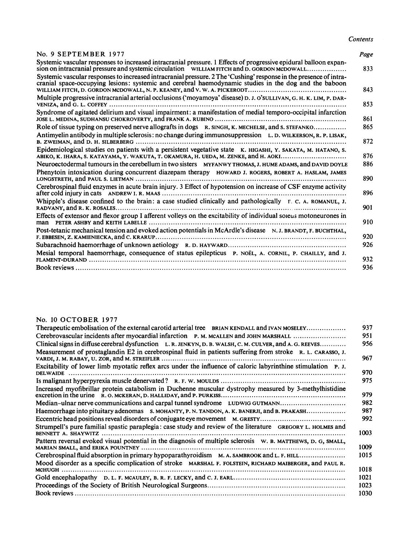#### No. 9 SEPTEMBER 1977 Page

| Systemic vascular responses to increased intracranial pressure. 1 Effects of progressive epidural balloon expan-<br>sion on intracranial pressure and systemic circulation WILLIAM FITCH and D. GORDON MCDOWALL             | 833 |
|-----------------------------------------------------------------------------------------------------------------------------------------------------------------------------------------------------------------------------|-----|
| Systemic vascular responses to increased intracranial pressure. 2 The 'Cushing' response in the presence of intra-<br>cranial space-occupying lesions: systemic and cerebral haemodynamic studies in the dog and the baboon | 843 |
| Multiple progressive intracranial arterial occlusions ('moyamoya' disease) D. J. O'SULLIVAN, G. H. K. LIM, P. DAR-                                                                                                          | 853 |
| Syndrome of agitated delirium and visual impairment: a manifestation of medial temporo-occipital infarction                                                                                                                 | 861 |
| Role of tissue typing on preserved nerve allografts in dogs R. SINGH, K. MECHELSE, and S. STEFANKO                                                                                                                          | 865 |
| Antimyelin antibody in multiple sclerosis: no change during immunosuppression $L$ . D. WILKERSON, R. P. LISAK,                                                                                                              | 872 |
| Epidemiological studies on patients with a persistent vegetative state K. HIGASHI, Y. SAKATA, M. HATANO, S.<br>ABIKO, K. IHARA, S. KATAYAMA, Y. WAKUTA, T. OKAMURA, H. UEDA, M. ZENKE, and H. AOKI                          | 876 |
| Neuroectodermal tumours in the cerebellum in two sisters MYFANWY THOMAS, J. HUME ADAMS, and DAVID DOYLE                                                                                                                     | 886 |
| Phenytoin intoxication during concurrent diazepam therapy HOWARD J. ROGERS, ROBERT A. HASLAM, JAMES                                                                                                                         | 890 |
| Cerebrospinal fluid enzymes in acute brain injury. 3 Effect of hypotension on increase of CSF enzyme activity                                                                                                               | 896 |
| Whipple's disease confined to the brain: a case studied clinically and pathologically $F. C. A. ROMANUL, J.$                                                                                                                | 901 |
| Effects of extensor and flexor group I afferent volleys on the excitability of individual soleus motoneurones in                                                                                                            | 910 |
| Post-tetanic mechanical tension and evoked action potentials in McArdle's disease N. J. BRANDT, F. BUCHTHAL,                                                                                                                | 920 |
|                                                                                                                                                                                                                             | 926 |
| Mesial temporal haemorrhage, consequence of status epilepticus P. NOËL, A. CORNIL, P. CHAILLY, and J.                                                                                                                       | 932 |
|                                                                                                                                                                                                                             | 936 |
|                                                                                                                                                                                                                             |     |

#### No. <sup>10</sup> OCTOBER <sup>1977</sup>

| Whipple's disease confined to the brain: a case studied clinically and pathologically $F. C. A. ROMANUL, J.$                                                                                                                                                                                                                                                                                                                                                                                                                                                                                                        |  |
|---------------------------------------------------------------------------------------------------------------------------------------------------------------------------------------------------------------------------------------------------------------------------------------------------------------------------------------------------------------------------------------------------------------------------------------------------------------------------------------------------------------------------------------------------------------------------------------------------------------------|--|
|                                                                                                                                                                                                                                                                                                                                                                                                                                                                                                                                                                                                                     |  |
| Effects of extensor and flexor group I afferent volleys on the excitability of individual soleus motoneurones in                                                                                                                                                                                                                                                                                                                                                                                                                                                                                                    |  |
| Post-tetanic mechanical tension and evoked action potentials in McArdle's disease N.J. BRANDT, F. BUCHTHAL,                                                                                                                                                                                                                                                                                                                                                                                                                                                                                                         |  |
|                                                                                                                                                                                                                                                                                                                                                                                                                                                                                                                                                                                                                     |  |
|                                                                                                                                                                                                                                                                                                                                                                                                                                                                                                                                                                                                                     |  |
| Mesial temporal haemorrhage, consequence of status epilepticus P. NOËL, A. CORNIL, P. CHAILLY, and J.                                                                                                                                                                                                                                                                                                                                                                                                                                                                                                               |  |
|                                                                                                                                                                                                                                                                                                                                                                                                                                                                                                                                                                                                                     |  |
|                                                                                                                                                                                                                                                                                                                                                                                                                                                                                                                                                                                                                     |  |
|                                                                                                                                                                                                                                                                                                                                                                                                                                                                                                                                                                                                                     |  |
|                                                                                                                                                                                                                                                                                                                                                                                                                                                                                                                                                                                                                     |  |
|                                                                                                                                                                                                                                                                                                                                                                                                                                                                                                                                                                                                                     |  |
|                                                                                                                                                                                                                                                                                                                                                                                                                                                                                                                                                                                                                     |  |
|                                                                                                                                                                                                                                                                                                                                                                                                                                                                                                                                                                                                                     |  |
| No. 10 OCTOBER 1977                                                                                                                                                                                                                                                                                                                                                                                                                                                                                                                                                                                                 |  |
| Therapeutic embolisation of the external carotid arterial tree BRIAN KENDALL and IVAN MOSELEY                                                                                                                                                                                                                                                                                                                                                                                                                                                                                                                       |  |
| Cerebrovascular incidents after myocardial infarction P. M. MCALLEN and JOHN MARSHALL                                                                                                                                                                                                                                                                                                                                                                                                                                                                                                                               |  |
| Clinical signs in diffuse cerebral dysfunction L. R. JENKYN, D. B. WALSH, C. M. CULVER, and A. G. REEVES                                                                                                                                                                                                                                                                                                                                                                                                                                                                                                            |  |
| Measurement of prostaglandin E2 in cerebrospinal fluid in patients suffering from stroke $R$ . L. CARASSO, J.                                                                                                                                                                                                                                                                                                                                                                                                                                                                                                       |  |
|                                                                                                                                                                                                                                                                                                                                                                                                                                                                                                                                                                                                                     |  |
| Excitability of lower limb myotatic reflex arcs under the influence of caloric labyrinthine stimulation P. J.                                                                                                                                                                                                                                                                                                                                                                                                                                                                                                       |  |
|                                                                                                                                                                                                                                                                                                                                                                                                                                                                                                                                                                                                                     |  |
| Increased myofibrillar protein catabolism in Duchenne muscular dystrophy measured by 3-methylhistidine                                                                                                                                                                                                                                                                                                                                                                                                                                                                                                              |  |
|                                                                                                                                                                                                                                                                                                                                                                                                                                                                                                                                                                                                                     |  |
| Median-ulnar nerve communications and carpal tunnel syndrome LUDWIG GUTMANN                                                                                                                                                                                                                                                                                                                                                                                                                                                                                                                                         |  |
|                                                                                                                                                                                                                                                                                                                                                                                                                                                                                                                                                                                                                     |  |
|                                                                                                                                                                                                                                                                                                                                                                                                                                                                                                                                                                                                                     |  |
|                                                                                                                                                                                                                                                                                                                                                                                                                                                                                                                                                                                                                     |  |
|                                                                                                                                                                                                                                                                                                                                                                                                                                                                                                                                                                                                                     |  |
|                                                                                                                                                                                                                                                                                                                                                                                                                                                                                                                                                                                                                     |  |
|                                                                                                                                                                                                                                                                                                                                                                                                                                                                                                                                                                                                                     |  |
|                                                                                                                                                                                                                                                                                                                                                                                                                                                                                                                                                                                                                     |  |
|                                                                                                                                                                                                                                                                                                                                                                                                                                                                                                                                                                                                                     |  |
|                                                                                                                                                                                                                                                                                                                                                                                                                                                                                                                                                                                                                     |  |
| Haemorrhage into pituitary adenomas S. MOHANTY, P. N. TANDON, A. K. BANERJI, and B. PRAKASH<br>Eccentric head positions reveal disorders of conjugate eye movement M. GRESTY<br>Strumpell's pure familial spastic paraplegia: case study and review of the literature GREGORY L. HOLMES and<br>Pattern reversal evoked visual potential in the diagnosis of multiple sclerosis W. B. MATTHEWS, D. G, SMALL,<br>Cerebrospinal fluid absorption in primary hypoparathyroidism M. A. SAMBROOK and L. F. HILL<br>Mood disorder as a specific complication of stroke MARSHAL F. FOLSTEIN, RICHARD MAIBERGER, and PAUL R. |  |
|                                                                                                                                                                                                                                                                                                                                                                                                                                                                                                                                                                                                                     |  |